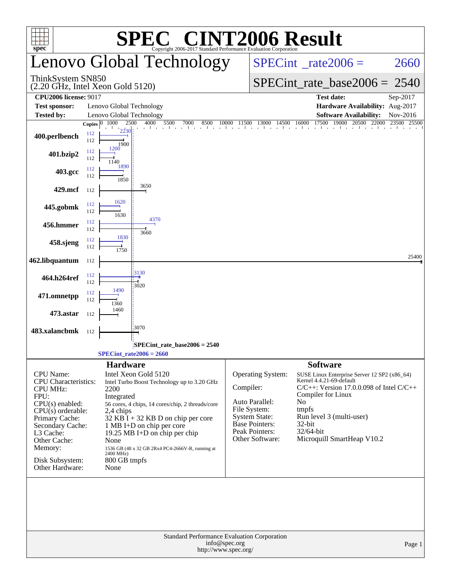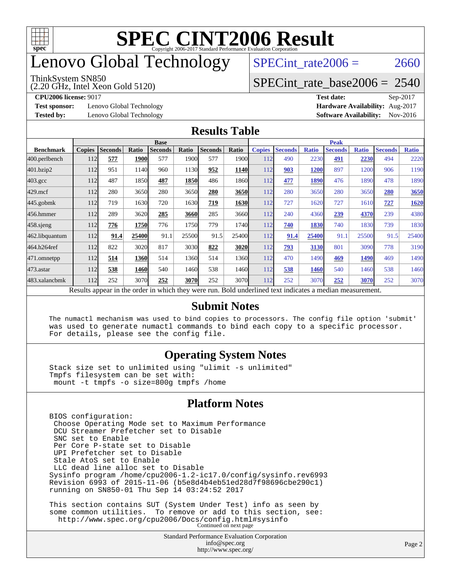

## enovo Global Technology

#### ThinkSystem SN850

(2.20 GHz, Intel Xeon Gold 5120)

SPECint rate $2006 = 2660$ 

### [SPECint\\_rate\\_base2006 =](http://www.spec.org/auto/cpu2006/Docs/result-fields.html#SPECintratebase2006) 2540

**[Test sponsor:](http://www.spec.org/auto/cpu2006/Docs/result-fields.html#Testsponsor)** Lenovo Global Technology **[Hardware Availability:](http://www.spec.org/auto/cpu2006/Docs/result-fields.html#HardwareAvailability)** Aug-2017

**[CPU2006 license:](http://www.spec.org/auto/cpu2006/Docs/result-fields.html#CPU2006license)** 9017 **[Test date:](http://www.spec.org/auto/cpu2006/Docs/result-fields.html#Testdate)** Sep-2017 **[Tested by:](http://www.spec.org/auto/cpu2006/Docs/result-fields.html#Testedby)** Lenovo Global Technology **[Software Availability:](http://www.spec.org/auto/cpu2006/Docs/result-fields.html#SoftwareAvailability)** Nov-2016

#### **[Results Table](http://www.spec.org/auto/cpu2006/Docs/result-fields.html#ResultsTable)**

|                    | <b>Base</b>   |                |       |                                                                                                          |       |                |                   | <b>Peak</b>   |                |              |                |              |                |              |
|--------------------|---------------|----------------|-------|----------------------------------------------------------------------------------------------------------|-------|----------------|-------------------|---------------|----------------|--------------|----------------|--------------|----------------|--------------|
| <b>Benchmark</b>   | <b>Copies</b> | <b>Seconds</b> | Ratio | <b>Seconds</b>                                                                                           | Ratio | <b>Seconds</b> | Ratio             | <b>Copies</b> | <b>Seconds</b> | <b>Ratio</b> | <b>Seconds</b> | <b>Ratio</b> | <b>Seconds</b> | <b>Ratio</b> |
| 400.perlbench      | 112           | 577            | 1900  | 577                                                                                                      | 1900  | 577            | 1900 <sub>l</sub> | 112           | 490            | 2230         | 491            | 2230         | 494            | 2220         |
| 401.bzip2          | 112           | 951            | 1140  | 960                                                                                                      | 1130  | 952            | <b>1140</b>       | 112           | 903            | <u> 1200</u> | 897            | 1200         | 906            | 1190         |
| $403.\mathrm{gcc}$ | 112           | 487            | 1850  | 487                                                                                                      | 1850  | 486            | 1860              | 112           | 477            | 1890         | 476            | 1890         | 478            | 1890         |
| $429$ .mcf         | 112           | 280            | 3650  | 280                                                                                                      | 3650  | 280            | 3650              | 112           | 280            | 3650         | 280            | 3650         | 280            | 3650         |
| $445$ .gobmk       | 112           | 719            | 1630  | 720                                                                                                      | 1630  | 719            | 1630              | 112           | 727            | 1620         | 727            | 1610         | 727            | 1620         |
| 456.hmmer          | 112           | 289            | 3620  | 285                                                                                                      | 3660  | 285            | 3660l             | 112           | 240            | 4360         | 239            | 4370         | 239            | 4380         |
| $458$ sjeng        | 112           | 776            | 1750  | 776                                                                                                      | 1750  | 779            | 1740              | 112           | 740            | 1830         | 740            | 1830         | 739            | 1830         |
| 462.libquantum     | 112           | 91.4           | 25400 | 91.1                                                                                                     | 25500 | 91.5           | 25400             | 112           | 91.4           | 25400        | 91.1           | 25500        | 91.5           | 25400        |
| 464.h264ref        | 112           | 822            | 3020  | 817                                                                                                      | 3030  | 822            | 3020              | 112           | 793            | 3130         | 801            | 3090         | 778            | 3190         |
| 471.omnetpp        | 112           | 514            | 1360  | 514                                                                                                      | 1360  | 514            | 1360I             | 112           | 470            | 1490         | 469            | 1490         | 469            | 1490         |
| $473.$ astar       | 112           | 538            | 1460  | 540                                                                                                      | 1460  | 538            | 1460              | 112           | 538            | 1460         | 540            | 1460         | 538            | 1460         |
| 483.xalancbmk      | 112           | 252            | 3070  | 252                                                                                                      | 3070  | 252            | 3070l             | 112           | 252            | 3070         | 252            | 3070         | 252            | 3070         |
|                    |               |                |       | Results appear in the order in which they were run. Bold underlined text indicates a median measurement. |       |                |                   |               |                |              |                |              |                |              |

#### **[Submit Notes](http://www.spec.org/auto/cpu2006/Docs/result-fields.html#SubmitNotes)**

 The numactl mechanism was used to bind copies to processors. The config file option 'submit' was used to generate numactl commands to bind each copy to a specific processor. For details, please see the config file.

### **[Operating System Notes](http://www.spec.org/auto/cpu2006/Docs/result-fields.html#OperatingSystemNotes)**

 Stack size set to unlimited using "ulimit -s unlimited" Tmpfs filesystem can be set with: mount -t tmpfs -o size=800g tmpfs /home

### **[Platform Notes](http://www.spec.org/auto/cpu2006/Docs/result-fields.html#PlatformNotes)**

<http://www.spec.org/>

Standard Performance Evaluation Corporation [info@spec.org](mailto:info@spec.org) BIOS configuration: Choose Operating Mode set to Maximum Performance DCU Streamer Prefetcher set to Disable SNC set to Enable Per Core P-state set to Disable UPI Prefetcher set to Disable Stale AtoS set to Enable LLC dead line alloc set to Disable Sysinfo program /home/cpu2006-1.2-ic17.0/config/sysinfo.rev6993 Revision 6993 of 2015-11-06 (b5e8d4b4eb51ed28d7f98696cbe290c1) running on SN850-01 Thu Sep 14 03:24:52 2017 This section contains SUT (System Under Test) info as seen by some common utilities. To remove or add to this section, see: <http://www.spec.org/cpu2006/Docs/config.html#sysinfo> Continued on next page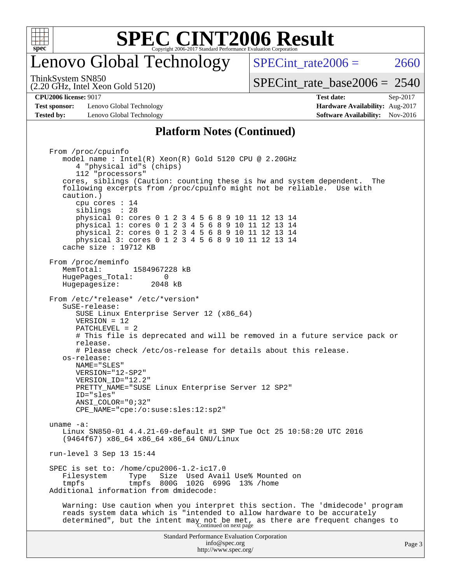

### enovo Global Technology

SPECint rate  $2006 = 2660$ 

ThinkSystem SN850

(2.20 GHz, Intel Xeon Gold 5120)

[SPECint\\_rate\\_base2006 =](http://www.spec.org/auto/cpu2006/Docs/result-fields.html#SPECintratebase2006) 2540

**[Test sponsor:](http://www.spec.org/auto/cpu2006/Docs/result-fields.html#Testsponsor)** Lenovo Global Technology **[Hardware Availability:](http://www.spec.org/auto/cpu2006/Docs/result-fields.html#HardwareAvailability)** Aug-2017 **[Tested by:](http://www.spec.org/auto/cpu2006/Docs/result-fields.html#Testedby)** Lenovo Global Technology **[Software Availability:](http://www.spec.org/auto/cpu2006/Docs/result-fields.html#SoftwareAvailability)** Nov-2016

**[CPU2006 license:](http://www.spec.org/auto/cpu2006/Docs/result-fields.html#CPU2006license)** 9017 **[Test date:](http://www.spec.org/auto/cpu2006/Docs/result-fields.html#Testdate)** Sep-2017

### **[Platform Notes \(Continued\)](http://www.spec.org/auto/cpu2006/Docs/result-fields.html#PlatformNotes)**

Standard Performance Evaluation Corporation [info@spec.org](mailto:info@spec.org) <http://www.spec.org/> Page 3 From /proc/cpuinfo model name : Intel(R) Xeon(R) Gold 5120 CPU @ 2.20GHz 4 "physical id"s (chips) 112 "processors" cores, siblings (Caution: counting these is hw and system dependent. The following excerpts from /proc/cpuinfo might not be reliable. Use with caution.) cpu cores : 14 siblings : 28 physical 0: cores 0 1 2 3 4 5 6 8 9 10 11 12 13 14 physical 1: cores 0 1 2 3 4 5 6 8 9 10 11 12 13 14 physical 2: cores 0 1 2 3 4 5 6 8 9 10 11 12 13 14 physical 3: cores 0 1 2 3 4 5 6 8 9 10 11 12 13 14 cache size : 19712 KB From /proc/meminfo MemTotal: 1584967228 kB HugePages\_Total: 0<br>Hugepagesize: 2048 kB Hugepagesize: From /etc/\*release\* /etc/\*version\* SuSE-release: SUSE Linux Enterprise Server 12 (x86\_64) VERSION = 12 PATCHLEVEL = 2 # This file is deprecated and will be removed in a future service pack or release. # Please check /etc/os-release for details about this release. os-release: NAME="SLES" VERSION="12-SP2" VERSION\_ID="12.2" PRETTY\_NAME="SUSE Linux Enterprise Server 12 SP2" ID="sles" ANSI\_COLOR="0;32" CPE\_NAME="cpe:/o:suse:sles:12:sp2" uname -a: Linux SN850-01 4.4.21-69-default #1 SMP Tue Oct 25 10:58:20 UTC 2016 (9464f67) x86\_64 x86\_64 x86\_64 GNU/Linux run-level 3 Sep 13 15:44 SPEC is set to: /home/cpu2006-1.2-ic17.0 Filesystem Type Size Used-Avail-Use%-Mounted-on-<br>
tmpfs 800G 102G 699G 13%-/home tmpfs tmpfs 800G 102G 699G 13% /home Additional information from dmidecode: Warning: Use caution when you interpret this section. The 'dmidecode' program reads system data which is "intended to allow hardware to be accurately determined", but the intent may not be met, as there are frequent changes to<br>Continued on next page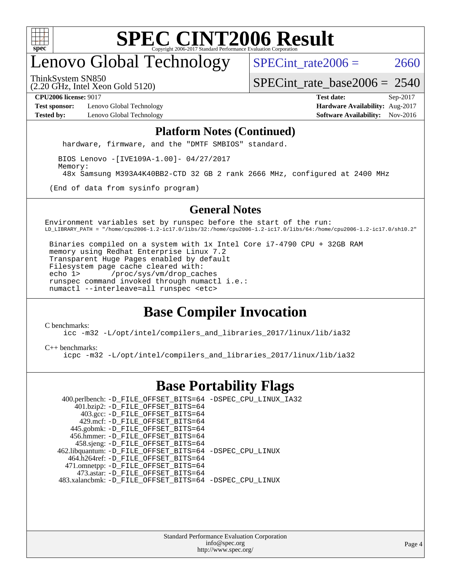

# enovo Global Technology

SPECint rate  $2006 = 2660$ 

(2.20 GHz, Intel Xeon Gold 5120) ThinkSystem SN850

[SPECint\\_rate\\_base2006 =](http://www.spec.org/auto/cpu2006/Docs/result-fields.html#SPECintratebase2006) 2540

**[Test sponsor:](http://www.spec.org/auto/cpu2006/Docs/result-fields.html#Testsponsor)** Lenovo Global Technology **[Hardware Availability:](http://www.spec.org/auto/cpu2006/Docs/result-fields.html#HardwareAvailability)** Aug-2017 **[Tested by:](http://www.spec.org/auto/cpu2006/Docs/result-fields.html#Testedby)** Lenovo Global Technology **[Software Availability:](http://www.spec.org/auto/cpu2006/Docs/result-fields.html#SoftwareAvailability)** Nov-2016

**[CPU2006 license:](http://www.spec.org/auto/cpu2006/Docs/result-fields.html#CPU2006license)** 9017 **[Test date:](http://www.spec.org/auto/cpu2006/Docs/result-fields.html#Testdate)** Sep-2017

#### **[Platform Notes \(Continued\)](http://www.spec.org/auto/cpu2006/Docs/result-fields.html#PlatformNotes)**

hardware, firmware, and the "DMTF SMBIOS" standard.

 BIOS Lenovo -[IVE109A-1.00]- 04/27/2017 Memory:

48x Samsung M393A4K40BB2-CTD 32 GB 2 rank 2666 MHz, configured at 2400 MHz

(End of data from sysinfo program)

### **[General Notes](http://www.spec.org/auto/cpu2006/Docs/result-fields.html#GeneralNotes)**

Environment variables set by runspec before the start of the run: LD\_LIBRARY\_PATH = "/home/cpu2006-1.2-ic17.0/libs/32:/home/cpu2006-1.2-ic17.0/libs/64:/home/cpu2006-1.2-ic17.0/sh10.2"

 Binaries compiled on a system with 1x Intel Core i7-4790 CPU + 32GB RAM memory using Redhat Enterprise Linux 7.2 Transparent Huge Pages enabled by default Filesystem page cache cleared with: echo 1> /proc/sys/vm/drop\_caches runspec command invoked through numactl i.e.: numactl --interleave=all runspec <etc>

### **[Base Compiler Invocation](http://www.spec.org/auto/cpu2006/Docs/result-fields.html#BaseCompilerInvocation)**

[C benchmarks](http://www.spec.org/auto/cpu2006/Docs/result-fields.html#Cbenchmarks):

[icc -m32 -L/opt/intel/compilers\\_and\\_libraries\\_2017/linux/lib/ia32](http://www.spec.org/cpu2006/results/res2017q4/cpu2006-20170918-49997.flags.html#user_CCbase_intel_icc_c29f3ff5a7ed067b11e4ec10a03f03ae)

[C++ benchmarks:](http://www.spec.org/auto/cpu2006/Docs/result-fields.html#CXXbenchmarks)

[icpc -m32 -L/opt/intel/compilers\\_and\\_libraries\\_2017/linux/lib/ia32](http://www.spec.org/cpu2006/results/res2017q4/cpu2006-20170918-49997.flags.html#user_CXXbase_intel_icpc_8c35c7808b62dab9ae41a1aa06361b6b)

### **[Base Portability Flags](http://www.spec.org/auto/cpu2006/Docs/result-fields.html#BasePortabilityFlags)**

 400.perlbench: [-D\\_FILE\\_OFFSET\\_BITS=64](http://www.spec.org/cpu2006/results/res2017q4/cpu2006-20170918-49997.flags.html#user_basePORTABILITY400_perlbench_file_offset_bits_64_438cf9856305ebd76870a2c6dc2689ab) [-DSPEC\\_CPU\\_LINUX\\_IA32](http://www.spec.org/cpu2006/results/res2017q4/cpu2006-20170918-49997.flags.html#b400.perlbench_baseCPORTABILITY_DSPEC_CPU_LINUX_IA32) 401.bzip2: [-D\\_FILE\\_OFFSET\\_BITS=64](http://www.spec.org/cpu2006/results/res2017q4/cpu2006-20170918-49997.flags.html#user_basePORTABILITY401_bzip2_file_offset_bits_64_438cf9856305ebd76870a2c6dc2689ab) 403.gcc: [-D\\_FILE\\_OFFSET\\_BITS=64](http://www.spec.org/cpu2006/results/res2017q4/cpu2006-20170918-49997.flags.html#user_basePORTABILITY403_gcc_file_offset_bits_64_438cf9856305ebd76870a2c6dc2689ab) 429.mcf: [-D\\_FILE\\_OFFSET\\_BITS=64](http://www.spec.org/cpu2006/results/res2017q4/cpu2006-20170918-49997.flags.html#user_basePORTABILITY429_mcf_file_offset_bits_64_438cf9856305ebd76870a2c6dc2689ab) 445.gobmk: [-D\\_FILE\\_OFFSET\\_BITS=64](http://www.spec.org/cpu2006/results/res2017q4/cpu2006-20170918-49997.flags.html#user_basePORTABILITY445_gobmk_file_offset_bits_64_438cf9856305ebd76870a2c6dc2689ab) 456.hmmer: [-D\\_FILE\\_OFFSET\\_BITS=64](http://www.spec.org/cpu2006/results/res2017q4/cpu2006-20170918-49997.flags.html#user_basePORTABILITY456_hmmer_file_offset_bits_64_438cf9856305ebd76870a2c6dc2689ab) 458.sjeng: [-D\\_FILE\\_OFFSET\\_BITS=64](http://www.spec.org/cpu2006/results/res2017q4/cpu2006-20170918-49997.flags.html#user_basePORTABILITY458_sjeng_file_offset_bits_64_438cf9856305ebd76870a2c6dc2689ab) 462.libquantum: [-D\\_FILE\\_OFFSET\\_BITS=64](http://www.spec.org/cpu2006/results/res2017q4/cpu2006-20170918-49997.flags.html#user_basePORTABILITY462_libquantum_file_offset_bits_64_438cf9856305ebd76870a2c6dc2689ab) [-DSPEC\\_CPU\\_LINUX](http://www.spec.org/cpu2006/results/res2017q4/cpu2006-20170918-49997.flags.html#b462.libquantum_baseCPORTABILITY_DSPEC_CPU_LINUX) 464.h264ref: [-D\\_FILE\\_OFFSET\\_BITS=64](http://www.spec.org/cpu2006/results/res2017q4/cpu2006-20170918-49997.flags.html#user_basePORTABILITY464_h264ref_file_offset_bits_64_438cf9856305ebd76870a2c6dc2689ab) 471.omnetpp: [-D\\_FILE\\_OFFSET\\_BITS=64](http://www.spec.org/cpu2006/results/res2017q4/cpu2006-20170918-49997.flags.html#user_basePORTABILITY471_omnetpp_file_offset_bits_64_438cf9856305ebd76870a2c6dc2689ab) 473.astar: [-D\\_FILE\\_OFFSET\\_BITS=64](http://www.spec.org/cpu2006/results/res2017q4/cpu2006-20170918-49997.flags.html#user_basePORTABILITY473_astar_file_offset_bits_64_438cf9856305ebd76870a2c6dc2689ab) 483.xalancbmk: [-D\\_FILE\\_OFFSET\\_BITS=64](http://www.spec.org/cpu2006/results/res2017q4/cpu2006-20170918-49997.flags.html#user_basePORTABILITY483_xalancbmk_file_offset_bits_64_438cf9856305ebd76870a2c6dc2689ab) [-DSPEC\\_CPU\\_LINUX](http://www.spec.org/cpu2006/results/res2017q4/cpu2006-20170918-49997.flags.html#b483.xalancbmk_baseCXXPORTABILITY_DSPEC_CPU_LINUX)

> Standard Performance Evaluation Corporation [info@spec.org](mailto:info@spec.org) <http://www.spec.org/>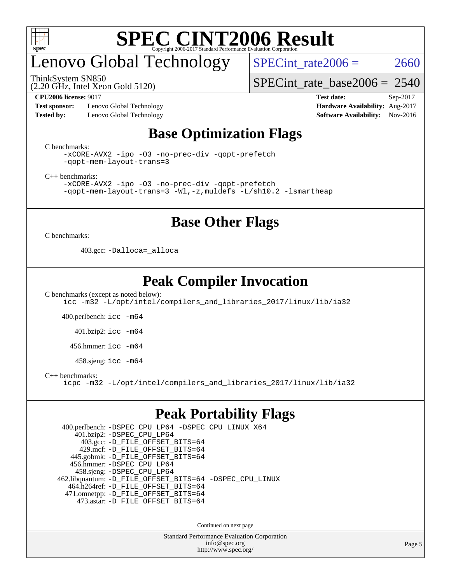

# enovo Global Technology

SPECint rate  $2006 = 2660$ 

ThinkSystem SN850

(2.20 GHz, Intel Xeon Gold 5120)

[SPECint\\_rate\\_base2006 =](http://www.spec.org/auto/cpu2006/Docs/result-fields.html#SPECintratebase2006) 2540

**[Test sponsor:](http://www.spec.org/auto/cpu2006/Docs/result-fields.html#Testsponsor)** Lenovo Global Technology **[Hardware Availability:](http://www.spec.org/auto/cpu2006/Docs/result-fields.html#HardwareAvailability)** Aug-2017 **[Tested by:](http://www.spec.org/auto/cpu2006/Docs/result-fields.html#Testedby)** Lenovo Global Technology **[Software Availability:](http://www.spec.org/auto/cpu2006/Docs/result-fields.html#SoftwareAvailability)** Nov-2016

**[CPU2006 license:](http://www.spec.org/auto/cpu2006/Docs/result-fields.html#CPU2006license)** 9017 **[Test date:](http://www.spec.org/auto/cpu2006/Docs/result-fields.html#Testdate)** Sep-2017

### **[Base Optimization Flags](http://www.spec.org/auto/cpu2006/Docs/result-fields.html#BaseOptimizationFlags)**

[C benchmarks](http://www.spec.org/auto/cpu2006/Docs/result-fields.html#Cbenchmarks):

[-xCORE-AVX2](http://www.spec.org/cpu2006/results/res2017q4/cpu2006-20170918-49997.flags.html#user_CCbase_f-xCORE-AVX2) [-ipo](http://www.spec.org/cpu2006/results/res2017q4/cpu2006-20170918-49997.flags.html#user_CCbase_f-ipo) [-O3](http://www.spec.org/cpu2006/results/res2017q4/cpu2006-20170918-49997.flags.html#user_CCbase_f-O3) [-no-prec-div](http://www.spec.org/cpu2006/results/res2017q4/cpu2006-20170918-49997.flags.html#user_CCbase_f-no-prec-div) [-qopt-prefetch](http://www.spec.org/cpu2006/results/res2017q4/cpu2006-20170918-49997.flags.html#user_CCbase_f-qopt-prefetch) [-qopt-mem-layout-trans=3](http://www.spec.org/cpu2006/results/res2017q4/cpu2006-20170918-49997.flags.html#user_CCbase_f-qopt-mem-layout-trans_170f5be61cd2cedc9b54468c59262d5d)

[C++ benchmarks:](http://www.spec.org/auto/cpu2006/Docs/result-fields.html#CXXbenchmarks)

[-xCORE-AVX2](http://www.spec.org/cpu2006/results/res2017q4/cpu2006-20170918-49997.flags.html#user_CXXbase_f-xCORE-AVX2) [-ipo](http://www.spec.org/cpu2006/results/res2017q4/cpu2006-20170918-49997.flags.html#user_CXXbase_f-ipo) [-O3](http://www.spec.org/cpu2006/results/res2017q4/cpu2006-20170918-49997.flags.html#user_CXXbase_f-O3) [-no-prec-div](http://www.spec.org/cpu2006/results/res2017q4/cpu2006-20170918-49997.flags.html#user_CXXbase_f-no-prec-div) [-qopt-prefetch](http://www.spec.org/cpu2006/results/res2017q4/cpu2006-20170918-49997.flags.html#user_CXXbase_f-qopt-prefetch) [-qopt-mem-layout-trans=3](http://www.spec.org/cpu2006/results/res2017q4/cpu2006-20170918-49997.flags.html#user_CXXbase_f-qopt-mem-layout-trans_170f5be61cd2cedc9b54468c59262d5d) [-Wl,-z,muldefs](http://www.spec.org/cpu2006/results/res2017q4/cpu2006-20170918-49997.flags.html#user_CXXbase_link_force_multiple1_74079c344b956b9658436fd1b6dd3a8a) [-L/sh10.2 -lsmartheap](http://www.spec.org/cpu2006/results/res2017q4/cpu2006-20170918-49997.flags.html#user_CXXbase_SmartHeap_b831f2d313e2fffa6dfe3f00ffc1f1c0)

### **[Base Other Flags](http://www.spec.org/auto/cpu2006/Docs/result-fields.html#BaseOtherFlags)**

[C benchmarks](http://www.spec.org/auto/cpu2006/Docs/result-fields.html#Cbenchmarks):

403.gcc: [-Dalloca=\\_alloca](http://www.spec.org/cpu2006/results/res2017q4/cpu2006-20170918-49997.flags.html#b403.gcc_baseEXTRA_CFLAGS_Dalloca_be3056838c12de2578596ca5467af7f3)

### **[Peak Compiler Invocation](http://www.spec.org/auto/cpu2006/Docs/result-fields.html#PeakCompilerInvocation)**

[C benchmarks \(except as noted below\)](http://www.spec.org/auto/cpu2006/Docs/result-fields.html#Cbenchmarksexceptasnotedbelow): [icc -m32 -L/opt/intel/compilers\\_and\\_libraries\\_2017/linux/lib/ia32](http://www.spec.org/cpu2006/results/res2017q4/cpu2006-20170918-49997.flags.html#user_CCpeak_intel_icc_c29f3ff5a7ed067b11e4ec10a03f03ae)

400.perlbench: [icc -m64](http://www.spec.org/cpu2006/results/res2017q4/cpu2006-20170918-49997.flags.html#user_peakCCLD400_perlbench_intel_icc_64bit_bda6cc9af1fdbb0edc3795bac97ada53)

401.bzip2: [icc -m64](http://www.spec.org/cpu2006/results/res2017q4/cpu2006-20170918-49997.flags.html#user_peakCCLD401_bzip2_intel_icc_64bit_bda6cc9af1fdbb0edc3795bac97ada53)

456.hmmer: [icc -m64](http://www.spec.org/cpu2006/results/res2017q4/cpu2006-20170918-49997.flags.html#user_peakCCLD456_hmmer_intel_icc_64bit_bda6cc9af1fdbb0edc3795bac97ada53)

458.sjeng: [icc -m64](http://www.spec.org/cpu2006/results/res2017q4/cpu2006-20170918-49997.flags.html#user_peakCCLD458_sjeng_intel_icc_64bit_bda6cc9af1fdbb0edc3795bac97ada53)

[C++ benchmarks:](http://www.spec.org/auto/cpu2006/Docs/result-fields.html#CXXbenchmarks)

[icpc -m32 -L/opt/intel/compilers\\_and\\_libraries\\_2017/linux/lib/ia32](http://www.spec.org/cpu2006/results/res2017q4/cpu2006-20170918-49997.flags.html#user_CXXpeak_intel_icpc_8c35c7808b62dab9ae41a1aa06361b6b)

### **[Peak Portability Flags](http://www.spec.org/auto/cpu2006/Docs/result-fields.html#PeakPortabilityFlags)**

 400.perlbench: [-DSPEC\\_CPU\\_LP64](http://www.spec.org/cpu2006/results/res2017q4/cpu2006-20170918-49997.flags.html#b400.perlbench_peakCPORTABILITY_DSPEC_CPU_LP64) [-DSPEC\\_CPU\\_LINUX\\_X64](http://www.spec.org/cpu2006/results/res2017q4/cpu2006-20170918-49997.flags.html#b400.perlbench_peakCPORTABILITY_DSPEC_CPU_LINUX_X64) 401.bzip2: [-DSPEC\\_CPU\\_LP64](http://www.spec.org/cpu2006/results/res2017q4/cpu2006-20170918-49997.flags.html#suite_peakCPORTABILITY401_bzip2_DSPEC_CPU_LP64) 403.gcc: [-D\\_FILE\\_OFFSET\\_BITS=64](http://www.spec.org/cpu2006/results/res2017q4/cpu2006-20170918-49997.flags.html#user_peakPORTABILITY403_gcc_file_offset_bits_64_438cf9856305ebd76870a2c6dc2689ab) 429.mcf: [-D\\_FILE\\_OFFSET\\_BITS=64](http://www.spec.org/cpu2006/results/res2017q4/cpu2006-20170918-49997.flags.html#user_peakPORTABILITY429_mcf_file_offset_bits_64_438cf9856305ebd76870a2c6dc2689ab) 445.gobmk: [-D\\_FILE\\_OFFSET\\_BITS=64](http://www.spec.org/cpu2006/results/res2017q4/cpu2006-20170918-49997.flags.html#user_peakPORTABILITY445_gobmk_file_offset_bits_64_438cf9856305ebd76870a2c6dc2689ab) 456.hmmer: [-DSPEC\\_CPU\\_LP64](http://www.spec.org/cpu2006/results/res2017q4/cpu2006-20170918-49997.flags.html#suite_peakCPORTABILITY456_hmmer_DSPEC_CPU_LP64) 458.sjeng: [-DSPEC\\_CPU\\_LP64](http://www.spec.org/cpu2006/results/res2017q4/cpu2006-20170918-49997.flags.html#suite_peakCPORTABILITY458_sjeng_DSPEC_CPU_LP64) 462.libquantum: [-D\\_FILE\\_OFFSET\\_BITS=64](http://www.spec.org/cpu2006/results/res2017q4/cpu2006-20170918-49997.flags.html#user_peakPORTABILITY462_libquantum_file_offset_bits_64_438cf9856305ebd76870a2c6dc2689ab) [-DSPEC\\_CPU\\_LINUX](http://www.spec.org/cpu2006/results/res2017q4/cpu2006-20170918-49997.flags.html#b462.libquantum_peakCPORTABILITY_DSPEC_CPU_LINUX) 464.h264ref: [-D\\_FILE\\_OFFSET\\_BITS=64](http://www.spec.org/cpu2006/results/res2017q4/cpu2006-20170918-49997.flags.html#user_peakPORTABILITY464_h264ref_file_offset_bits_64_438cf9856305ebd76870a2c6dc2689ab) 471.omnetpp: [-D\\_FILE\\_OFFSET\\_BITS=64](http://www.spec.org/cpu2006/results/res2017q4/cpu2006-20170918-49997.flags.html#user_peakPORTABILITY471_omnetpp_file_offset_bits_64_438cf9856305ebd76870a2c6dc2689ab) 473.astar: [-D\\_FILE\\_OFFSET\\_BITS=64](http://www.spec.org/cpu2006/results/res2017q4/cpu2006-20170918-49997.flags.html#user_peakPORTABILITY473_astar_file_offset_bits_64_438cf9856305ebd76870a2c6dc2689ab)

Continued on next page

Standard Performance Evaluation Corporation [info@spec.org](mailto:info@spec.org) <http://www.spec.org/>

Page 5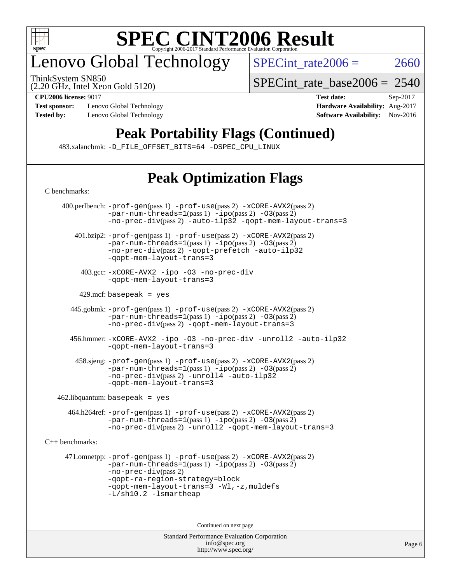

## enovo Global Technology

ThinkSystem SN850

SPECint rate $2006 = 2660$ 

(2.20 GHz, Intel Xeon Gold 5120)

**[Test sponsor:](http://www.spec.org/auto/cpu2006/Docs/result-fields.html#Testsponsor)** Lenovo Global Technology **[Hardware Availability:](http://www.spec.org/auto/cpu2006/Docs/result-fields.html#HardwareAvailability)** Aug-2017

[SPECint\\_rate\\_base2006 =](http://www.spec.org/auto/cpu2006/Docs/result-fields.html#SPECintratebase2006) 2540

**[CPU2006 license:](http://www.spec.org/auto/cpu2006/Docs/result-fields.html#CPU2006license)** 9017 **[Test date:](http://www.spec.org/auto/cpu2006/Docs/result-fields.html#Testdate)** Sep-2017 **[Tested by:](http://www.spec.org/auto/cpu2006/Docs/result-fields.html#Testedby)** Lenovo Global Technology **[Software Availability:](http://www.spec.org/auto/cpu2006/Docs/result-fields.html#SoftwareAvailability)** Nov-2016

## **[Peak Portability Flags \(Continued\)](http://www.spec.org/auto/cpu2006/Docs/result-fields.html#PeakPortabilityFlags)**

483.xalancbmk: [-D\\_FILE\\_OFFSET\\_BITS=64](http://www.spec.org/cpu2006/results/res2017q4/cpu2006-20170918-49997.flags.html#user_peakPORTABILITY483_xalancbmk_file_offset_bits_64_438cf9856305ebd76870a2c6dc2689ab) [-DSPEC\\_CPU\\_LINUX](http://www.spec.org/cpu2006/results/res2017q4/cpu2006-20170918-49997.flags.html#b483.xalancbmk_peakCXXPORTABILITY_DSPEC_CPU_LINUX)

# **[Peak Optimization Flags](http://www.spec.org/auto/cpu2006/Docs/result-fields.html#PeakOptimizationFlags)**

[C benchmarks](http://www.spec.org/auto/cpu2006/Docs/result-fields.html#Cbenchmarks): 400.perlbench: [-prof-gen](http://www.spec.org/cpu2006/results/res2017q4/cpu2006-20170918-49997.flags.html#user_peakPASS1_CFLAGSPASS1_LDCFLAGS400_perlbench_prof_gen_e43856698f6ca7b7e442dfd80e94a8fc)(pass 1) [-prof-use](http://www.spec.org/cpu2006/results/res2017q4/cpu2006-20170918-49997.flags.html#user_peakPASS2_CFLAGSPASS2_LDCFLAGS400_perlbench_prof_use_bccf7792157ff70d64e32fe3e1250b55)(pass 2) [-xCORE-AVX2](http://www.spec.org/cpu2006/results/res2017q4/cpu2006-20170918-49997.flags.html#user_peakPASS2_CFLAGSPASS2_LDCFLAGS400_perlbench_f-xCORE-AVX2)(pass 2)  $-par-num-threads=1(pass 1) -ipo(pass 2) -O3(pass 2)$  $-par-num-threads=1(pass 1) -ipo(pass 2) -O3(pass 2)$  $-par-num-threads=1(pass 1) -ipo(pass 2) -O3(pass 2)$  $-par-num-threads=1(pass 1) -ipo(pass 2) -O3(pass 2)$  $-par-num-threads=1(pass 1) -ipo(pass 2) -O3(pass 2)$  $-par-num-threads=1(pass 1) -ipo(pass 2) -O3(pass 2)$ [-no-prec-div](http://www.spec.org/cpu2006/results/res2017q4/cpu2006-20170918-49997.flags.html#user_peakPASS2_CFLAGSPASS2_LDCFLAGS400_perlbench_f-no-prec-div)(pass 2) [-auto-ilp32](http://www.spec.org/cpu2006/results/res2017q4/cpu2006-20170918-49997.flags.html#user_peakCOPTIMIZE400_perlbench_f-auto-ilp32) [-qopt-mem-layout-trans=3](http://www.spec.org/cpu2006/results/res2017q4/cpu2006-20170918-49997.flags.html#user_peakCOPTIMIZE400_perlbench_f-qopt-mem-layout-trans_170f5be61cd2cedc9b54468c59262d5d) 401.bzip2: [-prof-gen](http://www.spec.org/cpu2006/results/res2017q4/cpu2006-20170918-49997.flags.html#user_peakPASS1_CFLAGSPASS1_LDCFLAGS401_bzip2_prof_gen_e43856698f6ca7b7e442dfd80e94a8fc)(pass 1) [-prof-use](http://www.spec.org/cpu2006/results/res2017q4/cpu2006-20170918-49997.flags.html#user_peakPASS2_CFLAGSPASS2_LDCFLAGS401_bzip2_prof_use_bccf7792157ff70d64e32fe3e1250b55)(pass 2) [-xCORE-AVX2](http://www.spec.org/cpu2006/results/res2017q4/cpu2006-20170918-49997.flags.html#user_peakPASS2_CFLAGSPASS2_LDCFLAGS401_bzip2_f-xCORE-AVX2)(pass 2) [-par-num-threads=1](http://www.spec.org/cpu2006/results/res2017q4/cpu2006-20170918-49997.flags.html#user_peakPASS1_CFLAGSPASS1_LDCFLAGS401_bzip2_par_num_threads_786a6ff141b4e9e90432e998842df6c2)(pass 1) [-ipo](http://www.spec.org/cpu2006/results/res2017q4/cpu2006-20170918-49997.flags.html#user_peakPASS2_CFLAGSPASS2_LDCFLAGS401_bzip2_f-ipo)(pass 2) [-O3](http://www.spec.org/cpu2006/results/res2017q4/cpu2006-20170918-49997.flags.html#user_peakPASS2_CFLAGSPASS2_LDCFLAGS401_bzip2_f-O3)(pass 2) [-no-prec-div](http://www.spec.org/cpu2006/results/res2017q4/cpu2006-20170918-49997.flags.html#user_peakPASS2_CFLAGSPASS2_LDCFLAGS401_bzip2_f-no-prec-div)(pass 2) [-qopt-prefetch](http://www.spec.org/cpu2006/results/res2017q4/cpu2006-20170918-49997.flags.html#user_peakCOPTIMIZE401_bzip2_f-qopt-prefetch) [-auto-ilp32](http://www.spec.org/cpu2006/results/res2017q4/cpu2006-20170918-49997.flags.html#user_peakCOPTIMIZE401_bzip2_f-auto-ilp32) [-qopt-mem-layout-trans=3](http://www.spec.org/cpu2006/results/res2017q4/cpu2006-20170918-49997.flags.html#user_peakCOPTIMIZE401_bzip2_f-qopt-mem-layout-trans_170f5be61cd2cedc9b54468c59262d5d) 403.gcc: [-xCORE-AVX2](http://www.spec.org/cpu2006/results/res2017q4/cpu2006-20170918-49997.flags.html#user_peakOPTIMIZE403_gcc_f-xCORE-AVX2) [-ipo](http://www.spec.org/cpu2006/results/res2017q4/cpu2006-20170918-49997.flags.html#user_peakOPTIMIZE403_gcc_f-ipo) [-O3](http://www.spec.org/cpu2006/results/res2017q4/cpu2006-20170918-49997.flags.html#user_peakOPTIMIZE403_gcc_f-O3) [-no-prec-div](http://www.spec.org/cpu2006/results/res2017q4/cpu2006-20170918-49997.flags.html#user_peakOPTIMIZE403_gcc_f-no-prec-div) [-qopt-mem-layout-trans=3](http://www.spec.org/cpu2006/results/res2017q4/cpu2006-20170918-49997.flags.html#user_peakCOPTIMIZE403_gcc_f-qopt-mem-layout-trans_170f5be61cd2cedc9b54468c59262d5d)  $429$ .mcf: basepeak = yes 445.gobmk: [-prof-gen](http://www.spec.org/cpu2006/results/res2017q4/cpu2006-20170918-49997.flags.html#user_peakPASS1_CFLAGSPASS1_LDCFLAGS445_gobmk_prof_gen_e43856698f6ca7b7e442dfd80e94a8fc)(pass 1) [-prof-use](http://www.spec.org/cpu2006/results/res2017q4/cpu2006-20170918-49997.flags.html#user_peakPASS2_CFLAGSPASS2_LDCFLAGSPASS2_LDFLAGS445_gobmk_prof_use_bccf7792157ff70d64e32fe3e1250b55)(pass 2) [-xCORE-AVX2](http://www.spec.org/cpu2006/results/res2017q4/cpu2006-20170918-49997.flags.html#user_peakPASS2_CFLAGSPASS2_LDCFLAGSPASS2_LDFLAGS445_gobmk_f-xCORE-AVX2)(pass 2)  $-par-num-threads=1(pass 1) -ipo(pass 2) -O3(pass 2)$  $-par-num-threads=1(pass 1) -ipo(pass 2) -O3(pass 2)$  $-par-num-threads=1(pass 1) -ipo(pass 2) -O3(pass 2)$  $-par-num-threads=1(pass 1) -ipo(pass 2) -O3(pass 2)$  $-par-num-threads=1(pass 1) -ipo(pass 2) -O3(pass 2)$  $-par-num-threads=1(pass 1) -ipo(pass 2) -O3(pass 2)$ [-no-prec-div](http://www.spec.org/cpu2006/results/res2017q4/cpu2006-20170918-49997.flags.html#user_peakPASS2_LDCFLAGS445_gobmk_f-no-prec-div)(pass 2) [-qopt-mem-layout-trans=3](http://www.spec.org/cpu2006/results/res2017q4/cpu2006-20170918-49997.flags.html#user_peakCOPTIMIZE445_gobmk_f-qopt-mem-layout-trans_170f5be61cd2cedc9b54468c59262d5d) 456.hmmer: [-xCORE-AVX2](http://www.spec.org/cpu2006/results/res2017q4/cpu2006-20170918-49997.flags.html#user_peakOPTIMIZE456_hmmer_f-xCORE-AVX2) [-ipo](http://www.spec.org/cpu2006/results/res2017q4/cpu2006-20170918-49997.flags.html#user_peakOPTIMIZE456_hmmer_f-ipo) [-O3](http://www.spec.org/cpu2006/results/res2017q4/cpu2006-20170918-49997.flags.html#user_peakOPTIMIZE456_hmmer_f-O3) [-no-prec-div](http://www.spec.org/cpu2006/results/res2017q4/cpu2006-20170918-49997.flags.html#user_peakOPTIMIZE456_hmmer_f-no-prec-div) [-unroll2](http://www.spec.org/cpu2006/results/res2017q4/cpu2006-20170918-49997.flags.html#user_peakCOPTIMIZE456_hmmer_f-unroll_784dae83bebfb236979b41d2422d7ec2) [-auto-ilp32](http://www.spec.org/cpu2006/results/res2017q4/cpu2006-20170918-49997.flags.html#user_peakCOPTIMIZE456_hmmer_f-auto-ilp32) [-qopt-mem-layout-trans=3](http://www.spec.org/cpu2006/results/res2017q4/cpu2006-20170918-49997.flags.html#user_peakCOPTIMIZE456_hmmer_f-qopt-mem-layout-trans_170f5be61cd2cedc9b54468c59262d5d) 458.sjeng: [-prof-gen](http://www.spec.org/cpu2006/results/res2017q4/cpu2006-20170918-49997.flags.html#user_peakPASS1_CFLAGSPASS1_LDCFLAGS458_sjeng_prof_gen_e43856698f6ca7b7e442dfd80e94a8fc)(pass 1) [-prof-use](http://www.spec.org/cpu2006/results/res2017q4/cpu2006-20170918-49997.flags.html#user_peakPASS2_CFLAGSPASS2_LDCFLAGS458_sjeng_prof_use_bccf7792157ff70d64e32fe3e1250b55)(pass 2) [-xCORE-AVX2](http://www.spec.org/cpu2006/results/res2017q4/cpu2006-20170918-49997.flags.html#user_peakPASS2_CFLAGSPASS2_LDCFLAGS458_sjeng_f-xCORE-AVX2)(pass 2)  $-par-num-threads=1(pass 1) -ipo(pass 2) -O3(pass 2)$  $-par-num-threads=1(pass 1) -ipo(pass 2) -O3(pass 2)$  $-par-num-threads=1(pass 1) -ipo(pass 2) -O3(pass 2)$  $-par-num-threads=1(pass 1) -ipo(pass 2) -O3(pass 2)$  $-par-num-threads=1(pass 1) -ipo(pass 2) -O3(pass 2)$  $-par-num-threads=1(pass 1) -ipo(pass 2) -O3(pass 2)$ [-no-prec-div](http://www.spec.org/cpu2006/results/res2017q4/cpu2006-20170918-49997.flags.html#user_peakPASS2_CFLAGSPASS2_LDCFLAGS458_sjeng_f-no-prec-div)(pass 2) [-unroll4](http://www.spec.org/cpu2006/results/res2017q4/cpu2006-20170918-49997.flags.html#user_peakCOPTIMIZE458_sjeng_f-unroll_4e5e4ed65b7fd20bdcd365bec371b81f) [-auto-ilp32](http://www.spec.org/cpu2006/results/res2017q4/cpu2006-20170918-49997.flags.html#user_peakCOPTIMIZE458_sjeng_f-auto-ilp32) [-qopt-mem-layout-trans=3](http://www.spec.org/cpu2006/results/res2017q4/cpu2006-20170918-49997.flags.html#user_peakCOPTIMIZE458_sjeng_f-qopt-mem-layout-trans_170f5be61cd2cedc9b54468c59262d5d)  $462$ .libquantum: basepeak = yes 464.h264ref: [-prof-gen](http://www.spec.org/cpu2006/results/res2017q4/cpu2006-20170918-49997.flags.html#user_peakPASS1_CFLAGSPASS1_LDCFLAGS464_h264ref_prof_gen_e43856698f6ca7b7e442dfd80e94a8fc)(pass 1) [-prof-use](http://www.spec.org/cpu2006/results/res2017q4/cpu2006-20170918-49997.flags.html#user_peakPASS2_CFLAGSPASS2_LDCFLAGS464_h264ref_prof_use_bccf7792157ff70d64e32fe3e1250b55)(pass 2) [-xCORE-AVX2](http://www.spec.org/cpu2006/results/res2017q4/cpu2006-20170918-49997.flags.html#user_peakPASS2_CFLAGSPASS2_LDCFLAGS464_h264ref_f-xCORE-AVX2)(pass 2)  $-$ par-num-threads=1(pass 1)  $-$ ipo(pass 2)  $-$ O3(pass 2) [-no-prec-div](http://www.spec.org/cpu2006/results/res2017q4/cpu2006-20170918-49997.flags.html#user_peakPASS2_CFLAGSPASS2_LDCFLAGS464_h264ref_f-no-prec-div)(pass 2) [-unroll2](http://www.spec.org/cpu2006/results/res2017q4/cpu2006-20170918-49997.flags.html#user_peakCOPTIMIZE464_h264ref_f-unroll_784dae83bebfb236979b41d2422d7ec2) [-qopt-mem-layout-trans=3](http://www.spec.org/cpu2006/results/res2017q4/cpu2006-20170918-49997.flags.html#user_peakCOPTIMIZE464_h264ref_f-qopt-mem-layout-trans_170f5be61cd2cedc9b54468c59262d5d) [C++ benchmarks:](http://www.spec.org/auto/cpu2006/Docs/result-fields.html#CXXbenchmarks) 471.omnetpp: [-prof-gen](http://www.spec.org/cpu2006/results/res2017q4/cpu2006-20170918-49997.flags.html#user_peakPASS1_CXXFLAGSPASS1_LDCXXFLAGS471_omnetpp_prof_gen_e43856698f6ca7b7e442dfd80e94a8fc)(pass 1) [-prof-use](http://www.spec.org/cpu2006/results/res2017q4/cpu2006-20170918-49997.flags.html#user_peakPASS2_CXXFLAGSPASS2_LDCXXFLAGS471_omnetpp_prof_use_bccf7792157ff70d64e32fe3e1250b55)(pass 2) [-xCORE-AVX2](http://www.spec.org/cpu2006/results/res2017q4/cpu2006-20170918-49997.flags.html#user_peakPASS2_CXXFLAGSPASS2_LDCXXFLAGS471_omnetpp_f-xCORE-AVX2)(pass 2)  $-par-num-threads=1(pass 1) -ipo(pass 2) -O3(pass 2)$  $-par-num-threads=1(pass 1) -ipo(pass 2) -O3(pass 2)$  $-par-num-threads=1(pass 1) -ipo(pass 2) -O3(pass 2)$  $-par-num-threads=1(pass 1) -ipo(pass 2) -O3(pass 2)$  $-par-num-threads=1(pass 1) -ipo(pass 2) -O3(pass 2)$  $-par-num-threads=1(pass 1) -ipo(pass 2) -O3(pass 2)$ [-no-prec-div](http://www.spec.org/cpu2006/results/res2017q4/cpu2006-20170918-49997.flags.html#user_peakPASS2_CXXFLAGSPASS2_LDCXXFLAGS471_omnetpp_f-no-prec-div)(pass 2) [-qopt-ra-region-strategy=block](http://www.spec.org/cpu2006/results/res2017q4/cpu2006-20170918-49997.flags.html#user_peakCXXOPTIMIZE471_omnetpp_f-qopt-ra-region-strategy_430aa8f7c220cbde92ae827fa8d9be32)  [-qopt-mem-layout-trans=3](http://www.spec.org/cpu2006/results/res2017q4/cpu2006-20170918-49997.flags.html#user_peakCXXOPTIMIZE471_omnetpp_f-qopt-mem-layout-trans_170f5be61cd2cedc9b54468c59262d5d) [-Wl,-z,muldefs](http://www.spec.org/cpu2006/results/res2017q4/cpu2006-20170918-49997.flags.html#user_peakEXTRA_LDFLAGS471_omnetpp_link_force_multiple1_74079c344b956b9658436fd1b6dd3a8a) [-L/sh10.2 -lsmartheap](http://www.spec.org/cpu2006/results/res2017q4/cpu2006-20170918-49997.flags.html#user_peakEXTRA_LIBS471_omnetpp_SmartHeap_b831f2d313e2fffa6dfe3f00ffc1f1c0) Continued on next page